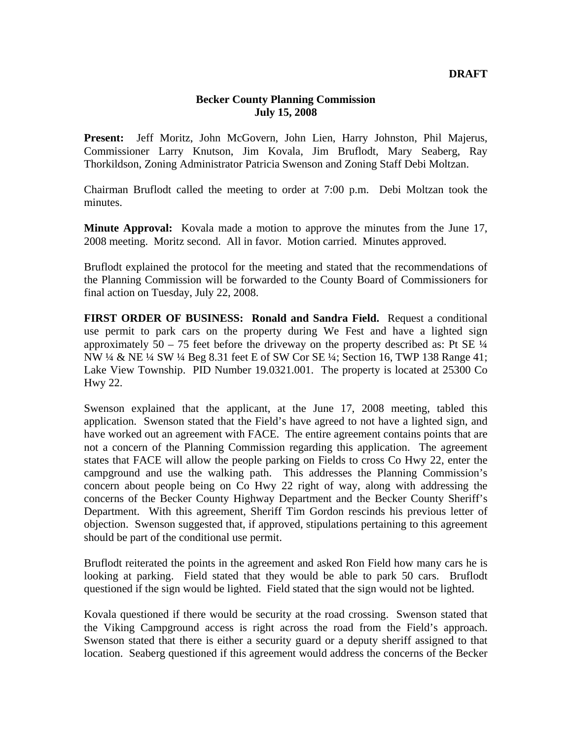## **Becker County Planning Commission July 15, 2008**

**Present:** Jeff Moritz, John McGovern, John Lien, Harry Johnston, Phil Majerus, Commissioner Larry Knutson, Jim Kovala, Jim Bruflodt, Mary Seaberg, Ray Thorkildson, Zoning Administrator Patricia Swenson and Zoning Staff Debi Moltzan.

Chairman Bruflodt called the meeting to order at 7:00 p.m. Debi Moltzan took the minutes.

**Minute Approval:** Kovala made a motion to approve the minutes from the June 17, 2008 meeting. Moritz second. All in favor. Motion carried. Minutes approved.

Bruflodt explained the protocol for the meeting and stated that the recommendations of the Planning Commission will be forwarded to the County Board of Commissioners for final action on Tuesday, July 22, 2008.

**FIRST ORDER OF BUSINESS: Ronald and Sandra Field.** Request a conditional use permit to park cars on the property during We Fest and have a lighted sign approximately  $50 - 75$  feet before the driveway on the property described as: Pt SE  $\frac{1}{4}$ NW ¼ & NE ¼ SW ¼ Beg 8.31 feet E of SW Cor SE ¼; Section 16, TWP 138 Range 41; Lake View Township. PID Number 19.0321.001. The property is located at 25300 Co Hwy 22.

Swenson explained that the applicant, at the June 17, 2008 meeting, tabled this application. Swenson stated that the Field's have agreed to not have a lighted sign, and have worked out an agreement with FACE. The entire agreement contains points that are not a concern of the Planning Commission regarding this application. The agreement states that FACE will allow the people parking on Fields to cross Co Hwy 22, enter the campground and use the walking path. This addresses the Planning Commission's concern about people being on Co Hwy 22 right of way, along with addressing the concerns of the Becker County Highway Department and the Becker County Sheriff's Department. With this agreement, Sheriff Tim Gordon rescinds his previous letter of objection. Swenson suggested that, if approved, stipulations pertaining to this agreement should be part of the conditional use permit.

Bruflodt reiterated the points in the agreement and asked Ron Field how many cars he is looking at parking. Field stated that they would be able to park 50 cars. Bruflodt questioned if the sign would be lighted. Field stated that the sign would not be lighted.

Kovala questioned if there would be security at the road crossing. Swenson stated that the Viking Campground access is right across the road from the Field's approach. Swenson stated that there is either a security guard or a deputy sheriff assigned to that location. Seaberg questioned if this agreement would address the concerns of the Becker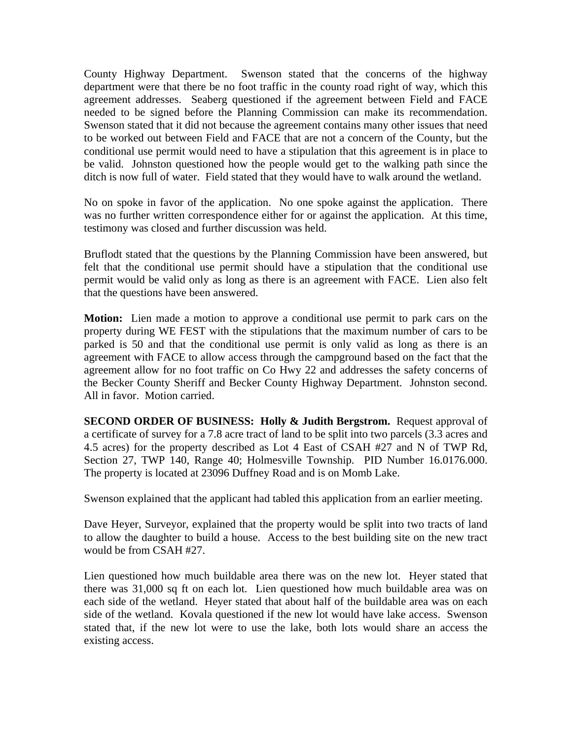County Highway Department. Swenson stated that the concerns of the highway department were that there be no foot traffic in the county road right of way, which this agreement addresses. Seaberg questioned if the agreement between Field and FACE needed to be signed before the Planning Commission can make its recommendation. Swenson stated that it did not because the agreement contains many other issues that need to be worked out between Field and FACE that are not a concern of the County, but the conditional use permit would need to have a stipulation that this agreement is in place to be valid. Johnston questioned how the people would get to the walking path since the ditch is now full of water. Field stated that they would have to walk around the wetland.

No on spoke in favor of the application. No one spoke against the application. There was no further written correspondence either for or against the application. At this time, testimony was closed and further discussion was held.

Bruflodt stated that the questions by the Planning Commission have been answered, but felt that the conditional use permit should have a stipulation that the conditional use permit would be valid only as long as there is an agreement with FACE. Lien also felt that the questions have been answered.

**Motion:** Lien made a motion to approve a conditional use permit to park cars on the property during WE FEST with the stipulations that the maximum number of cars to be parked is 50 and that the conditional use permit is only valid as long as there is an agreement with FACE to allow access through the campground based on the fact that the agreement allow for no foot traffic on Co Hwy 22 and addresses the safety concerns of the Becker County Sheriff and Becker County Highway Department. Johnston second. All in favor. Motion carried.

**SECOND ORDER OF BUSINESS: Holly & Judith Bergstrom.** Request approval of a certificate of survey for a 7.8 acre tract of land to be split into two parcels (3.3 acres and 4.5 acres) for the property described as Lot 4 East of CSAH #27 and N of TWP Rd, Section 27, TWP 140, Range 40; Holmesville Township. PID Number 16.0176.000. The property is located at 23096 Duffney Road and is on Momb Lake.

Swenson explained that the applicant had tabled this application from an earlier meeting.

Dave Heyer, Surveyor, explained that the property would be split into two tracts of land to allow the daughter to build a house. Access to the best building site on the new tract would be from CSAH #27.

Lien questioned how much buildable area there was on the new lot. Heyer stated that there was 31,000 sq ft on each lot. Lien questioned how much buildable area was on each side of the wetland. Heyer stated that about half of the buildable area was on each side of the wetland. Kovala questioned if the new lot would have lake access. Swenson stated that, if the new lot were to use the lake, both lots would share an access the existing access.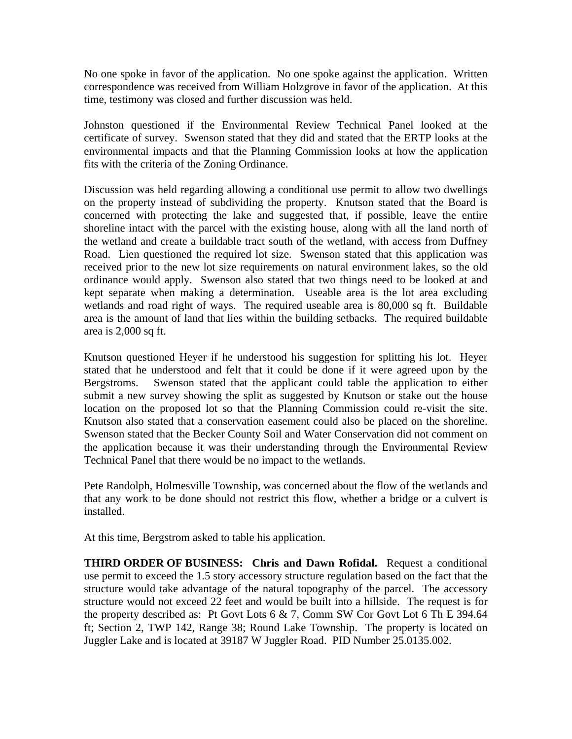No one spoke in favor of the application. No one spoke against the application. Written correspondence was received from William Holzgrove in favor of the application. At this time, testimony was closed and further discussion was held.

Johnston questioned if the Environmental Review Technical Panel looked at the certificate of survey. Swenson stated that they did and stated that the ERTP looks at the environmental impacts and that the Planning Commission looks at how the application fits with the criteria of the Zoning Ordinance.

Discussion was held regarding allowing a conditional use permit to allow two dwellings on the property instead of subdividing the property. Knutson stated that the Board is concerned with protecting the lake and suggested that, if possible, leave the entire shoreline intact with the parcel with the existing house, along with all the land north of the wetland and create a buildable tract south of the wetland, with access from Duffney Road. Lien questioned the required lot size. Swenson stated that this application was received prior to the new lot size requirements on natural environment lakes, so the old ordinance would apply. Swenson also stated that two things need to be looked at and kept separate when making a determination. Useable area is the lot area excluding wetlands and road right of ways. The required useable area is 80,000 sq ft. Buildable area is the amount of land that lies within the building setbacks. The required buildable area is 2,000 sq ft.

Knutson questioned Heyer if he understood his suggestion for splitting his lot. Heyer stated that he understood and felt that it could be done if it were agreed upon by the Bergstroms. Swenson stated that the applicant could table the application to either submit a new survey showing the split as suggested by Knutson or stake out the house location on the proposed lot so that the Planning Commission could re-visit the site. Knutson also stated that a conservation easement could also be placed on the shoreline. Swenson stated that the Becker County Soil and Water Conservation did not comment on the application because it was their understanding through the Environmental Review Technical Panel that there would be no impact to the wetlands.

Pete Randolph, Holmesville Township, was concerned about the flow of the wetlands and that any work to be done should not restrict this flow, whether a bridge or a culvert is installed.

At this time, Bergstrom asked to table his application.

**THIRD ORDER OF BUSINESS: Chris and Dawn Rofidal.** Request a conditional use permit to exceed the 1.5 story accessory structure regulation based on the fact that the structure would take advantage of the natural topography of the parcel. The accessory structure would not exceed 22 feet and would be built into a hillside. The request is for the property described as: Pt Govt Lots 6 & 7, Comm SW Cor Govt Lot 6 Th E 394.64 ft; Section 2, TWP 142, Range 38; Round Lake Township. The property is located on Juggler Lake and is located at 39187 W Juggler Road. PID Number 25.0135.002.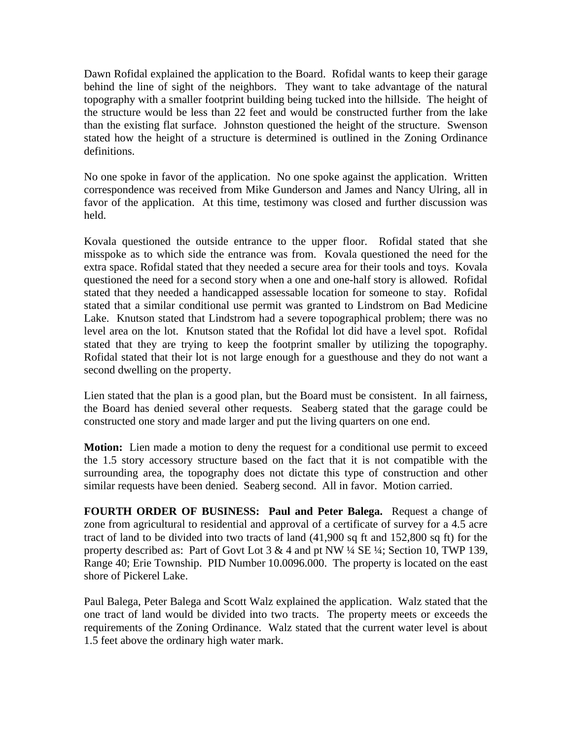Dawn Rofidal explained the application to the Board. Rofidal wants to keep their garage behind the line of sight of the neighbors. They want to take advantage of the natural topography with a smaller footprint building being tucked into the hillside. The height of the structure would be less than 22 feet and would be constructed further from the lake than the existing flat surface. Johnston questioned the height of the structure. Swenson stated how the height of a structure is determined is outlined in the Zoning Ordinance definitions.

No one spoke in favor of the application. No one spoke against the application. Written correspondence was received from Mike Gunderson and James and Nancy Ulring, all in favor of the application. At this time, testimony was closed and further discussion was held.

Kovala questioned the outside entrance to the upper floor. Rofidal stated that she misspoke as to which side the entrance was from. Kovala questioned the need for the extra space. Rofidal stated that they needed a secure area for their tools and toys. Kovala questioned the need for a second story when a one and one-half story is allowed. Rofidal stated that they needed a handicapped assessable location for someone to stay. Rofidal stated that a similar conditional use permit was granted to Lindstrom on Bad Medicine Lake. Knutson stated that Lindstrom had a severe topographical problem; there was no level area on the lot. Knutson stated that the Rofidal lot did have a level spot. Rofidal stated that they are trying to keep the footprint smaller by utilizing the topography. Rofidal stated that their lot is not large enough for a guesthouse and they do not want a second dwelling on the property.

Lien stated that the plan is a good plan, but the Board must be consistent. In all fairness, the Board has denied several other requests. Seaberg stated that the garage could be constructed one story and made larger and put the living quarters on one end.

**Motion:** Lien made a motion to deny the request for a conditional use permit to exceed the 1.5 story accessory structure based on the fact that it is not compatible with the surrounding area, the topography does not dictate this type of construction and other similar requests have been denied. Seaberg second. All in favor. Motion carried.

**FOURTH ORDER OF BUSINESS: Paul and Peter Balega.** Request a change of zone from agricultural to residential and approval of a certificate of survey for a 4.5 acre tract of land to be divided into two tracts of land (41,900 sq ft and 152,800 sq ft) for the property described as: Part of Govt Lot  $3 \& 4$  and pt NW  $\frac{1}{4}$  SE  $\frac{1}{4}$ ; Section 10, TWP 139, Range 40; Erie Township. PID Number 10.0096.000. The property is located on the east shore of Pickerel Lake.

Paul Balega, Peter Balega and Scott Walz explained the application. Walz stated that the one tract of land would be divided into two tracts. The property meets or exceeds the requirements of the Zoning Ordinance. Walz stated that the current water level is about 1.5 feet above the ordinary high water mark.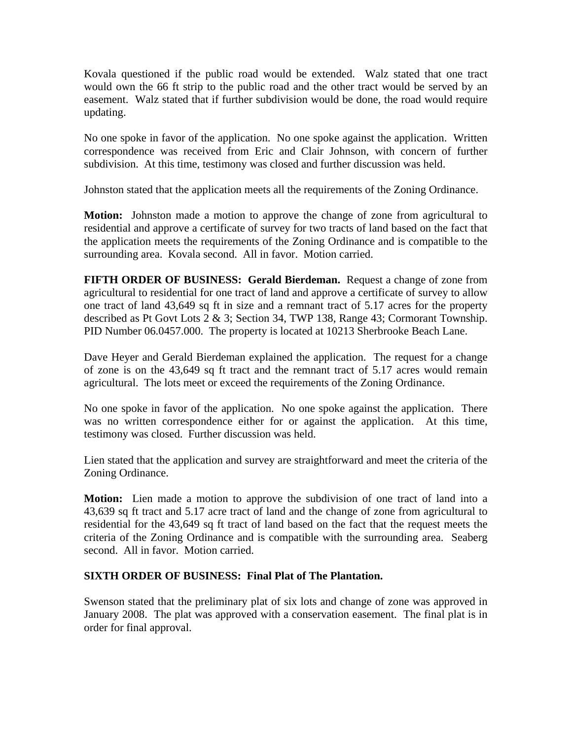Kovala questioned if the public road would be extended. Walz stated that one tract would own the 66 ft strip to the public road and the other tract would be served by an easement. Walz stated that if further subdivision would be done, the road would require updating.

No one spoke in favor of the application. No one spoke against the application. Written correspondence was received from Eric and Clair Johnson, with concern of further subdivision. At this time, testimony was closed and further discussion was held.

Johnston stated that the application meets all the requirements of the Zoning Ordinance.

**Motion:** Johnston made a motion to approve the change of zone from agricultural to residential and approve a certificate of survey for two tracts of land based on the fact that the application meets the requirements of the Zoning Ordinance and is compatible to the surrounding area. Kovala second. All in favor. Motion carried.

**FIFTH ORDER OF BUSINESS: Gerald Bierdeman.** Request a change of zone from agricultural to residential for one tract of land and approve a certificate of survey to allow one tract of land 43,649 sq ft in size and a remnant tract of 5.17 acres for the property described as Pt Govt Lots 2 & 3; Section 34, TWP 138, Range 43; Cormorant Township. PID Number 06.0457.000. The property is located at 10213 Sherbrooke Beach Lane.

Dave Heyer and Gerald Bierdeman explained the application. The request for a change of zone is on the 43,649 sq ft tract and the remnant tract of 5.17 acres would remain agricultural. The lots meet or exceed the requirements of the Zoning Ordinance.

No one spoke in favor of the application. No one spoke against the application. There was no written correspondence either for or against the application. At this time, testimony was closed. Further discussion was held.

Lien stated that the application and survey are straightforward and meet the criteria of the Zoning Ordinance.

**Motion:** Lien made a motion to approve the subdivision of one tract of land into a 43,639 sq ft tract and 5.17 acre tract of land and the change of zone from agricultural to residential for the 43,649 sq ft tract of land based on the fact that the request meets the criteria of the Zoning Ordinance and is compatible with the surrounding area. Seaberg second. All in favor. Motion carried.

## **SIXTH ORDER OF BUSINESS: Final Plat of The Plantation.**

Swenson stated that the preliminary plat of six lots and change of zone was approved in January 2008. The plat was approved with a conservation easement. The final plat is in order for final approval.